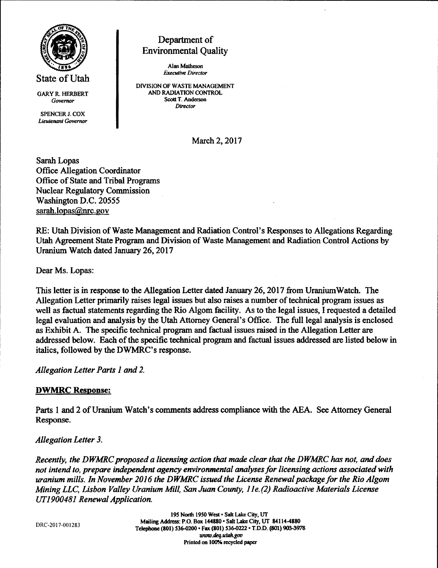

State of Utah

**GARY R. HERBERT** Govemor

SPENCER J. COX Lieutenant Governor

# Department of Environmental Quality

Alan Matheson **Executive Director** 

DIVISION OF WASTE MANAGEMENT AND RADIATION CONTROL Scott T. Anderson **Director** 

March 2, 2017

Sarah Lopas OfIice Allegation Coordinator Office of State and Tribal Programs Nuclear Regulatory Commission Washington D.C. 20555 sarah.lopas@nrc.gov

RE: Utah Division of Waste Management and Radiation Control's Responses to Allegations Regarding Utah Agreement State Program and Division of Waste Management and Radiation Control Actions by Uranium Watch dated January 26,2017

Dear Ms. Lopas:

This letter is in response to the Allegation Letter dated January 26, 2017 from UraniumWatch. The Allegation Letter primarily raises legal issues but also raises a number of technical program issues as well as factual statements regarding the Rio Algom facility. As to the legal issues, I requested a detailed legal evaluation and analysis by the Utah Attomey General's Office. The full legal analysis is enclosed as Exhibit A. The specific technical program and factual issues raised in the Allegation Letter are addressed below. Each of the specific technical program and factual issues addressed are listed below in italics, followed by the DWMRC's response.

Allegation Letter Parts I and 2.

## **DWMRC Response:**

Parts 1 and 2 of Uranium Watch's comments address compliance with the AEA. See Attorney General Response.

Allegation Letter 3.

Recently, the DWMRC proposed a licensing action that made clear that the DWMRC has not, and does not intend to, prepare independent agency environmental analyses for licensing actions associated with uranium mills. In November 2016 the DWMRC issued the License Renewal package for the Rio Algom Mining LLC, Lisbon Valley Uranium Mill, San Juan County, 11e.(2) Radioactive Materials License UT1900481 Renewal Application.

DRC-2017-001283

195 North 1950 West · Salt Lake City, UT Mailing Address: P.O. Box 144880 · Salt Lake City, UT 84114-4880 Telephone (801) 536-0200 · Fax (801) 536-0222 · T.D.D. (801) 903-3978 www.deq.utah.gov Printed on 100% recycled paper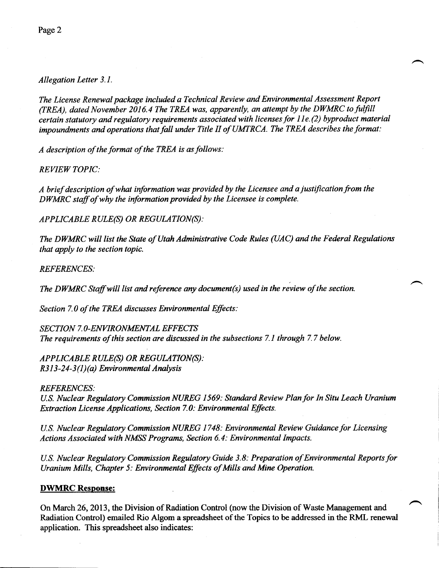### Allegation Letter 3,1.

The License Renewal package included a Technical Review and Environmental Assessment Report (TREA), dated November 2016.4 The TREA was, apparently, an attempt by the DWMRC to fulfill certain statutory and regulatory requirements associated with licenses for 11e.(2) byproduct material impoundments and operations that fall under Title II of UMTRCA. The TREA describes the format:

A description of the format of the TREA is as follows:

REVIEW TOPIC:

A brief description of what information was provided by the Licensee and a justification from the DWMRC staff of why the information provided by the Licensee is complete.

APPLICABLE RULE(S) OR REGULATION(S):

The DWMRC will list the State of Utah Administrative Code Rules (UAC) and the Federal Regulations that apply to the section topic.

REFERENCES:

The DWMRC Staff will list and reference any document(s) used in the review of the section.

Section 7.0 of the TREA discusses Environmental Effects:

SECTION 7. O-ENVIRONMENTAL EFFECTS The requirements of this section are discussed in the subsections 7.1 through 7.7 below.

APPLICABLE RULE(S) OR REGULATION(S):  $R313-24-3(1)(a)$  Environmental Analysis

REFERENCES:

U.S. Nuclear Regulatory Commission NUREG 1569: Standard Review Planfor In Situ Leach Uranium Extraction License Applications, Section 7.0: Environmental Effects.

U.S. Nuclear Regulatory Commission NUREG 1748: Environmental Review Guidance for Licensing Actions Associated with NMSS Programs, Section 6.4: Environmental Impacts.

U.S. Nuclear Regulatory Commission Regulatory Guide 3.8: Preparation of Environmental Reports for Uranium Mills, Chapter 5: Erwironmental Effects of Mills and Mine Operation.

### DWMRC Response:

On March 26, 2013, the Division of Radiation Control (now the Division of Waste Management and Radiation Control) emailed Rio Algom a spreadsheet of the Topics to be addressed in the RML renewal application. This spreadsheet also indicates: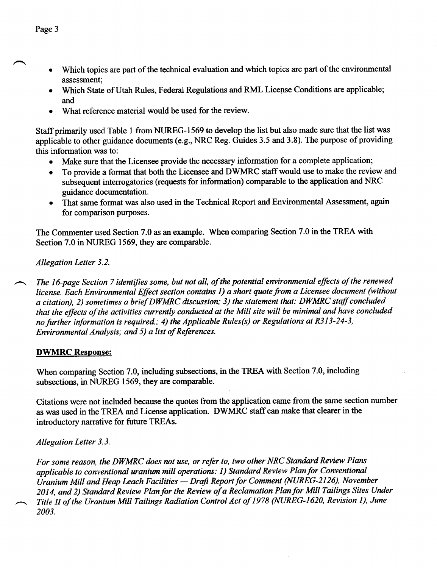- Which topics are part of the technical evaluation and which topics are part of the environmental assessment;
- Which State of Utah Rules, Federal Regulations and RML License Conditions are applicable; and
- o What reference material would be used for the review.

Staff primarily used Table I from NUREG-I569 to develop the list but also made sure that the list was applicable to other guidance documents (e.g., NRC Reg. Guides 3.5 and 3.8). The purpose of providing this information was to:

- . Make sure that the Licensee provide the necessary information for a complete application;
- To provide a format that both the Licensee and DWMRC staff would use to make the review and subsequent interrogatories (requests for information) comparable to the application and NRC guidance documentation.
- That same format was also used in the Technical Report and Environmental Assessment, again for comparison purposes.

The Commenter used Section 7.0 as an example. When comparing Section 7.0 in the TREA with Section 7.0 in NUREG 1569, they are comparable.

Allegation Letter 3.2.

The 16-page Section 7 identifies some, but not all, of the potential environmental effects of the renewed license. Each Environmental Effect section contains 1) a short quote from a Licensee document (without a citation), 2) sometimes a brief DWMRC discussion; 3) the statement that: DWMRC staff concluded that the effects of the activities currently conducted at the Mill site will be minimal and have concluded no further information is required.; 4) the Applicable Rules(s) or Regulations at R313-24-3, Environmental Analysis; and 5) a list of References.

## DWMRC Response:

When comparing Section 7.0, including subsections, in the TREA with Section 7.0, including subsections, in NUREG 1569, they are comparable.

Citations were not included because the quotes from the application came from the same section number as was used in the TREA and License application. DWMRC staff can make that clearer in the introductory narrative for futwe TREAs.

Allegation Letter 3.3.

For some reason, the DWMRC does not use, or refer to, two other NRC Standard Review Plans applicable to conventional uranium mill operations: I) Standard Review Planfor Conventional Uranium Mill and Heap Leach Facilities — Draft Report for Comment (NUREG-2126), November Uranium Mill and Heap Leach Facilities — Drajt Keport for Comment (NUKEG-2120), November<br>2014, and 2) Standard Review Plan for the Review of a Reclamation Plan for Mill Tailings Sites Under Title II of the (Iranium Mill Tailings Radiation Control Act of 1978 (NUREG-I620, Revision l), June 2003.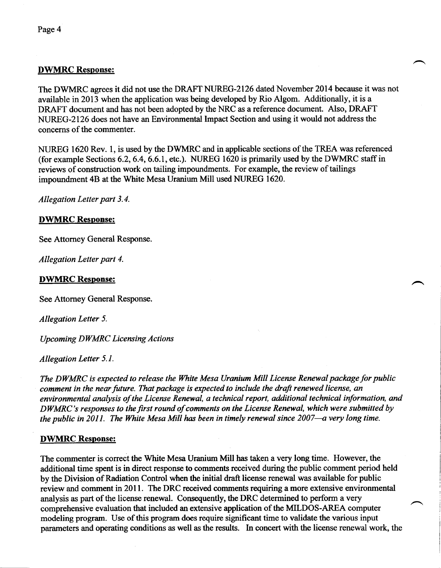#### DWMRC Response:

The DWMRC agrees it did not use the DRAFT NUREG-2126 dated November 2014 because it was not available in20l3 when the application was being developed by Rio Algom. Additionally, it is a DRAFT document and has not been adopted by the NRC as a reference document. Also, DRAFT NUREG-2126 does not have an Environmental Impact Section and using it would not address the concerns of the commenter.

NUREG 1620 Rev. l, is used by the DWMRC and in applicable sections of the TREA was referenced (for example Sections  $6.2, 6.4, 6.6.1$ , etc.). NUREG 1620 is primarily used by the DWMRC staff in reviews of construction work on tailing impoundments. For example, the review of tailings impoundment 4B at the White Mesa Uranium Mill used NUREG 1620.

Allegation Letter part 3.4.

### DWMRC Response:

See Attomey General Response.

Allegation Letter part 4.

#### DWMRC Resoonse:

See Attorney General Response.

Allegation Letter 5.

Upcoming DWMRC Licensing Actions

Allegation Letter 5.1.

The DWMRC is expected to release the White Mesa Uranium Mill License Renewal package for public comment in the near future. That package is expected to include the drafi renewed license, an environmental analysis of the License Renewal, a technical report, additional technical information, and DWMRC's responses to the first round of comments on the License Renewal, which were submitted by the public in 2011. The White Mesa Mill has been in timely renewal since 2007—a very long time.

### DWMRC Response:

The commenter is correct the White Mesa Uranium Mill has taken avery long time. However, the additional time spent is in direct response to comments received during the public comment period held by the Division of Radiation Control when the initial draft license renewal was available for public review and comment in 201l. The DRC received comments requiring a more extensive environmental analysis as part of the license renewal. Consequently, the DRC determined to perform a very comprehensive evaluation that included an extensive application of the MILDOS-AREA computer modeling program. Use of this program does require significant time to validate the various input parameters and operating conditions as well as the results. In concert with the license renewal work, the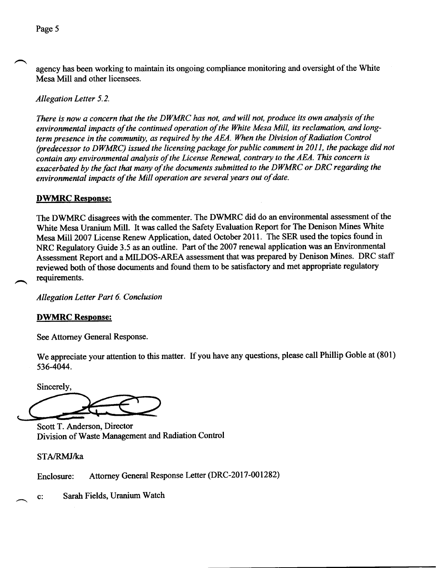agency has been working to maintain its ongoing compliance monitoring and oversight of the White Mesa Mill and other licensees.

Allegation Letter 5.2.

There is now a concern that the the DWMRC has not, andwill not, produce its own analysis of the environmental impacts of the continued operation of the White Mesa Mill, its reclamation, and longterm presence in the community, as required by the AEA. When the Division of Radiation Control (predecessor to DWMRC) issued the licensing package for public comment in 2011, the package did not contain any environmental analysis of the License Renewal, contrary to the AEA. This concern is exacerbated by the fact that many of the documents submitted to the DWMRC or DRC regarding the environmental impacts of the Mill operation are several years out of date.

## DWMRC Response:

The DWMRC disagrees with the commenter. The DWMRC did do an environmental assessment of the White Mesa Uranium Mill. It was called the Safety Evaluation Report for The Denison Mines White Mesa Mill 2007 License Renew Application, dated October 2011. The SER used the topics found in NRC Regulatory Guide 3.5 as an outline. Part of the 2007 renewal application was an Environmental Assessment Report and a MILDOS-AREA assessment that was prepared by Denison Mines. DRC staff reviewed both of those documents and found them to be satisfactory and met appropriate regulatory requirements.

Allegation Letter Part 6. Conclusion

## **DWMRC Response:**

See Attomey General Response.

We appreciate your attention to this matter. If you have any questions, please call Phillip Goble at (801) s36-4044.

Sincerely,

Scott T. Anderson, Director Division of Waste Management and Radiation Control

STA/RMJ/ka

Enclosure: Afforney General Response Letter (DRC-2017-001282)

c: Sarah Fields, Uranium Watch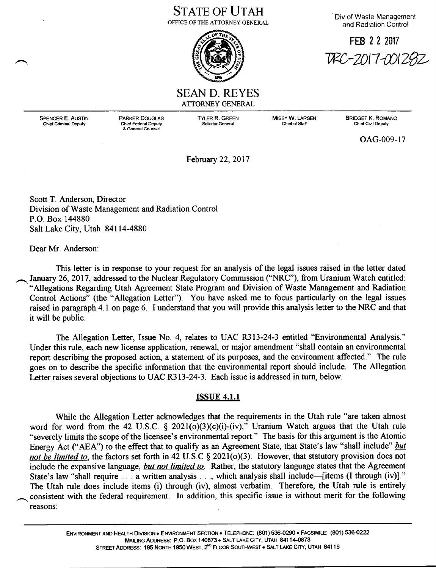# STATE OF UTAH OFFICE OFTHE ATTORNEY GENERAL



Div of Waste Management and Radiation Control

FEB 2 2 2017 TRC-2017-00128Z

## SEAN D. REYES ATTORNEY GENERAL

TYLER R. GREEN Solicitor General

MIssYW. LARSEN Chief of Staff

BRIDGET K. RoMANo Chief Civil Deputy

oAG-009-17

February 22,2017

Scott T. Anderson, Director Division of Waste Management and Radiation Control P.O. Box 144880 Salt Lake City, Utah 84114-4880

Dear Mr. Anderson:

This letter is in response to your request for an analysis of the legal issues raised in the letter dated . January 26,2017, addressed to the Nuclear Regulatory Commission ("NRC"), from Uranium Watch entitled: "Allegations Regarding Utah Agreement State Program and Division of Waste Management and Radiation Control Actions" (the "Allegation Letter"). You have asked me to focus particularly on the legal issues raised in paragraph 4.1 on page 6. I understand that you will provide this analysis letter to the NRC and that it will be public.

The Allegation Letter, Issue No. 4, relates to UAC R3l3-24-3 entitled "Environmental Analysis." Under this rule, each new license application, renewal, or major amendment "shall contain an environmental report describing the proposed action, a statement of its purposes, and the environment affected." The rule goes on to describe the specific information that the environmental report should include. The Allegation Letter raises several objections to UAC R313-24-3. Each issue is addressed in turn, below.

## **ISSUE 4.1.1**

While the Allegation Letter acknowledges that the requirements in the Utah rule "are taken almost word for word from the 42 U.S.C.  $\S$  2021(o)(3)(c)(i)-(iv)," Uranium Watch argues that the Utah rule "severely limits the scope of the licensee's environmental report." The basis for this argument is the Atomic Energy Act ("AEA") to the effect that to qualify as an Agreement State, that State's law "shall include" but not be limited to, the factors set forth in 42 U.S.C  $\S$  2021(o)(3). However, that statutory provision does not include the expansive language, but not limited to. Rather, the statutory language states that the Agreement State's law "shall require . . . a written analysis . . ., which analysis shall include-[items (I through (iv)]." The Utah rule does include items (i) through (iv), almost verbatim. Therefore, the Utah rule is entirely a consistent with the federal requirement. In addition, this specific issue is without merit for the following reasons.

SPENCER E. AUSTIN **Chief Criminal Deputy** 

PARKER DoUGLAS Chief Federal Deputy & General Counsel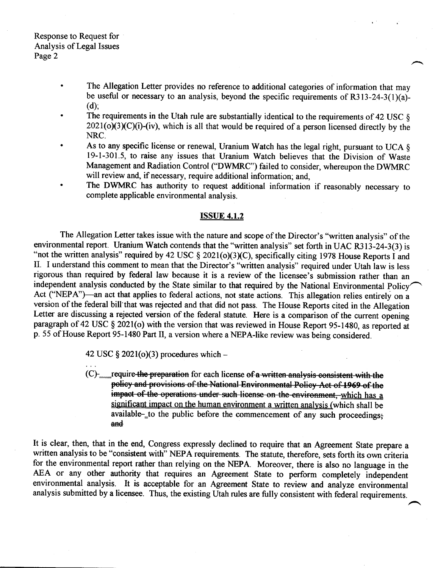- The Allegation Letter provides no reference to additional categories of information that may be useful or necessary to an analysis, beyond the specific requirements of R313-24-3(1)(a)-(d);
- The requirements in the Utah rule are substantially identical to the requirements of 42 USC  $\S$  $2021(o)(3)(C)(i)-(iv)$ , which is all that would be required of a person licensed directly by the NRC.
- As to any specific license or renewal, Uranium Watch has the legal right, pursuant to UCA  $\S$ 19-1-301.5, to raise any issues that Uranium Watch believes that the Division of Waste Management and Radiation Control ("DWMRC") failed to consider, whereupon the DWMRC will review and, if necessary, require additional information; and,
- The DWMRC has authority to request additional information if reasonably necessary to complete applicable environmental analysis.

#### **ISSUE 4.1.2**

The Allegation Letter takes issue with the nature and scope of the Director's "written analysis" of the environmental report. Uranium Watch contends that the "written analysis" set forth in UAC R313-24-3(3) is "not the written analysis" required by 42 USC  $\S 2021(0)(3)(C)$ , specifically citing 1978 House Reports I and II. I understand this comment to mean that the Director's "written analysis" required under Utah law is less rigorous than required by federal law because it is a review of the licensee's submission rather than an independent analysis conducted by the State similar to that required by the National Environmental Policy<sup>-</sup> Act ("NEPA")-an act that applies to federal actions, not state actions. This allegation relies entirely on a version of the federal bill'that was rejected and that did not pass. The House Reports cited in the Allegation Letter are discussing a rejected version of the federal statute. Here is a comparison of the current opening paragraph of 42 USC \$ 2021(o) with the version that was reviewed in House Report 95-1480, as reported at p. 55 of House Report 95-1480 Part II, a version where a NEPA-like review was being considered.

42 USC § 2021(o)(3) procedures which  $-$ 

 $(C)$ : require-the preparation for each license of a written analysis consistent with the policy and provisions of the National Environmental Policy Act of 1969 of the impact of the operations under such license on the environment, which has a significant impact on the human environment a written analysis (which shall be available-to the public before the commencement of any such proceedings; and

It is clear, then, that in the end, Congress expressly declined to require that an Agreement State prepare a written analysis to be "consistent with" NEPA requirements. The statute, therefore, sets forth its own criteria for the environmental report rather than relying on the NEPA. Moreover, there is also no language in the AEA or any other authority that requires an Agreement State to perform completely independent environmental analysis. It is acceptable for an Agreement State to review and analyze environmental analysis submitted by a licensee. Thus, the existing Utah rules are fully consistent with federal requirements.